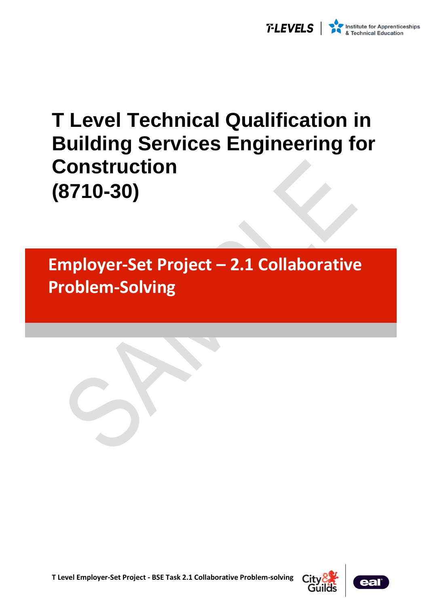

# **T Level Technical Qualification in Building Services Engineering for Construction (8710-30)**

**Employer-Set Project – 2.1 Collaborative Problem-Solving**





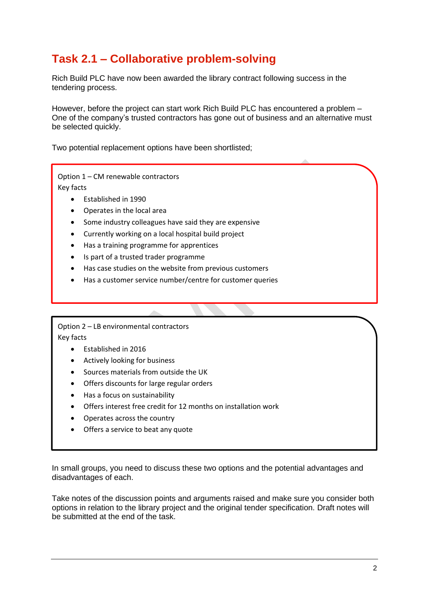# **Task 2.1 – Collaborative problem-solving**

Rich Build PLC have now been awarded the library contract following success in the tendering process.

However, before the project can start work Rich Build PLC has encountered a problem – One of the company's trusted contractors has gone out of business and an alternative must be selected quickly.

Two potential replacement options have been shortlisted;

Option 1 – CM renewable contractors Key facts

- Established in 1990
- Operates in the local area
- Some industry colleagues have said they are expensive
- Currently working on a local hospital build project
- Has a training programme for apprentices
- Is part of a trusted trader programme
- Has case studies on the website from previous customers
- Has a customer service number/centre for customer queries

Option 2 – LB environmental contractors Key facts

- Established in 2016
- Actively looking for business
- Sources materials from outside the UK
- Offers discounts for large regular orders
- Has a focus on sustainability
- Offers interest free credit for 12 months on installation work
- Operates across the country
- Offers a service to beat any quote

In small groups, you need to discuss these two options and the potential advantages and disadvantages of each.

Take notes of the discussion points and arguments raised and make sure you consider both options in relation to the library project and the original tender specification. Draft notes will be submitted at the end of the task.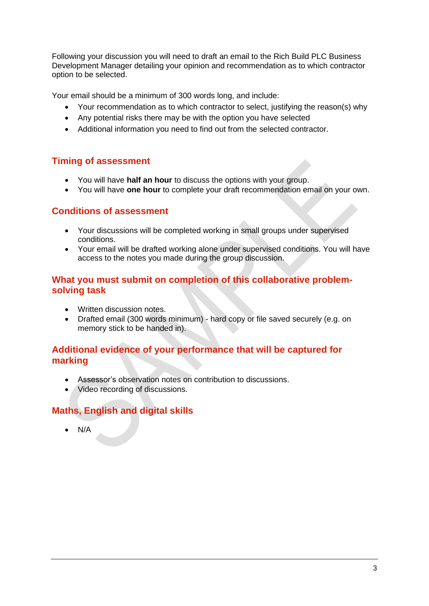Following your discussion you will need to draft an email to the Rich Build PLC Business Development Manager detailing your opinion and recommendation as to which contractor option to be selected.

Your email should be a minimum of 300 words long, and include:

- Your recommendation as to which contractor to select, justifying the reason(s) why
- Any potential risks there may be with the option you have selected
- Additional information you need to find out from the selected contractor.

### **Timing of assessment**

- You will have **half an hour** to discuss the options with your group.
- You will have **one hour** to complete your draft recommendation email on your own.

#### **Conditions of assessment**

- Your discussions will be completed working in small groups under supervised conditions.
- Your email will be drafted working alone under supervised conditions. You will have access to the notes you made during the group discussion.

#### **What you must submit on completion of this collaborative problemsolving task**

- Written discussion notes.
- Drafted email (300 words minimum) hard copy or file saved securely (e.g. on memory stick to be handed in).

#### **Additional evidence of your performance that will be captured for marking**

- Assessor's observation notes on contribution to discussions.
- Video recording of discussions.

## **Maths, English and digital skills**

• N/A